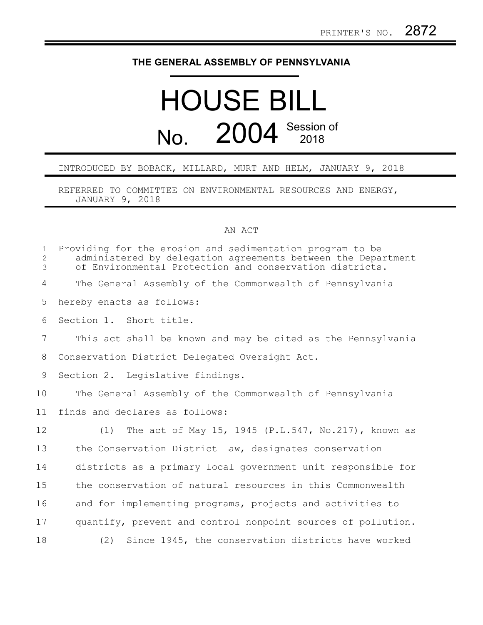## **THE GENERAL ASSEMBLY OF PENNSYLVANIA**

## HOUSE BILL No. 2004 Session of

## INTRODUCED BY BOBACK, MILLARD, MURT AND HELM, JANUARY 9, 2018

REFERRED TO COMMITTEE ON ENVIRONMENTAL RESOURCES AND ENERGY, JANUARY 9, 2018

## AN ACT

| $\mathbf{1}$<br>$\overline{2}$<br>3 | Providing for the erosion and sedimentation program to be<br>administered by delegation agreements between the Department<br>of Environmental Protection and conservation districts. |
|-------------------------------------|--------------------------------------------------------------------------------------------------------------------------------------------------------------------------------------|
| 4                                   | The General Assembly of the Commonwealth of Pennsylvania                                                                                                                             |
| 5                                   | hereby enacts as follows:                                                                                                                                                            |
| 6                                   | Section 1. Short title.                                                                                                                                                              |
| $\overline{7}$                      | This act shall be known and may be cited as the Pennsylvania                                                                                                                         |
| 8                                   | Conservation District Delegated Oversight Act.                                                                                                                                       |
| 9                                   | Section 2. Legislative findings.                                                                                                                                                     |
| 10                                  | The General Assembly of the Commonwealth of Pennsylvania                                                                                                                             |
| 11                                  | finds and declares as follows:                                                                                                                                                       |
| 12                                  | (1) The act of May 15, 1945 (P.L.547, No.217), known as                                                                                                                              |
| 13                                  | the Conservation District Law, designates conservation                                                                                                                               |
| 14                                  | districts as a primary local government unit responsible for                                                                                                                         |
| 15                                  | the conservation of natural resources in this Commonwealth                                                                                                                           |
| 16                                  | and for implementing programs, projects and activities to                                                                                                                            |
| 17                                  | quantify, prevent and control nonpoint sources of pollution.                                                                                                                         |
| 18                                  | (2)<br>Since 1945, the conservation districts have worked                                                                                                                            |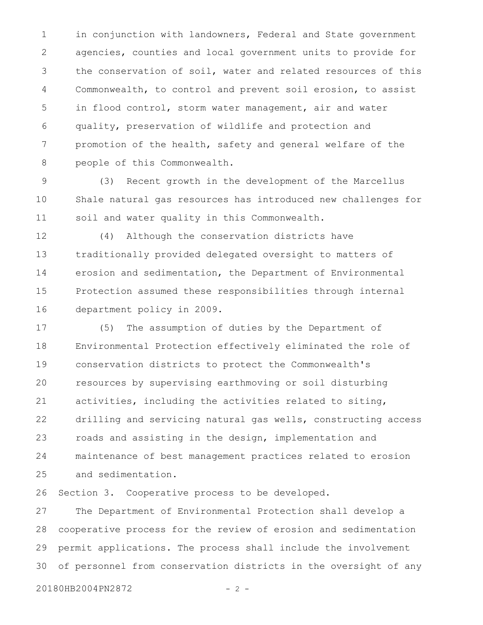in conjunction with landowners, Federal and State government agencies, counties and local government units to provide for the conservation of soil, water and related resources of this Commonwealth, to control and prevent soil erosion, to assist in flood control, storm water management, air and water quality, preservation of wildlife and protection and promotion of the health, safety and general welfare of the people of this Commonwealth. 1 2 3 4 5 6 7 8

(3) Recent growth in the development of the Marcellus Shale natural gas resources has introduced new challenges for soil and water quality in this Commonwealth. 9 10 11

(4) Although the conservation districts have traditionally provided delegated oversight to matters of erosion and sedimentation, the Department of Environmental Protection assumed these responsibilities through internal department policy in 2009. 12 13 14 15 16

(5) The assumption of duties by the Department of Environmental Protection effectively eliminated the role of conservation districts to protect the Commonwealth's resources by supervising earthmoving or soil disturbing activities, including the activities related to siting, drilling and servicing natural gas wells, constructing access roads and assisting in the design, implementation and maintenance of best management practices related to erosion and sedimentation. 17 18 19 20 21 22 23 24 25

Section 3. Cooperative process to be developed. 26

The Department of Environmental Protection shall develop a cooperative process for the review of erosion and sedimentation permit applications. The process shall include the involvement of personnel from conservation districts in the oversight of any 27 28 29 30

20180HB2004PN2872 - 2 -